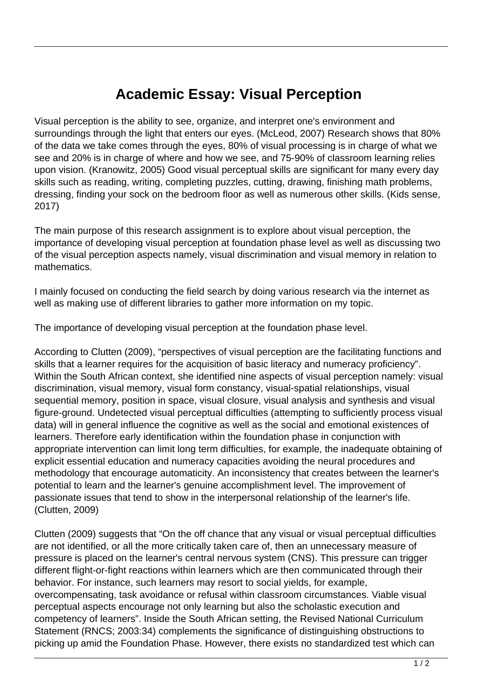## **Academic Essay: Visual Perception**

Visual perception is the ability to see, organize, and interpret one's environment and surroundings through the light that enters our eyes. (McLeod, 2007) Research shows that 80% of the data we take comes through the eyes, 80% of visual processing is in charge of what we see and 20% is in charge of where and how we see, and 75-90% of classroom learning relies upon vision. (Kranowitz, 2005) Good visual perceptual skills are significant for many every day skills such as reading, writing, completing puzzles, cutting, drawing, finishing math problems, dressing, finding your sock on the bedroom floor as well as numerous other skills. (Kids sense, 2017)

The main purpose of this research assignment is to explore about visual perception, the importance of developing visual perception at foundation phase level as well as discussing two of the visual perception aspects namely, visual discrimination and visual memory in relation to mathematics.

I mainly focused on conducting the field search by doing various research via the internet as well as making use of different libraries to gather more information on my topic.

The importance of developing visual perception at the foundation phase level.

According to Clutten (2009), "perspectives of visual perception are the facilitating functions and skills that a learner requires for the acquisition of basic literacy and numeracy proficiency". Within the South African context, she identified nine aspects of visual perception namely: visual discrimination, visual memory, visual form constancy, visual-spatial relationships, visual sequential memory, position in space, visual closure, visual analysis and synthesis and visual figure-ground. Undetected visual perceptual difficulties (attempting to sufficiently process visual data) will in general influence the cognitive as well as the social and emotional existences of learners. Therefore early identification within the foundation phase in conjunction with appropriate intervention can limit long term difficulties, for example, the inadequate obtaining of explicit essential education and numeracy capacities avoiding the neural procedures and methodology that encourage automaticity. An inconsistency that creates between the learner's potential to learn and the learner's genuine accomplishment level. The improvement of passionate issues that tend to show in the interpersonal relationship of the learner's life. (Clutten, 2009)

Clutten (2009) suggests that "On the off chance that any visual or visual perceptual difficulties are not identified, or all the more critically taken care of, then an unnecessary measure of pressure is placed on the learner's central nervous system (CNS). This pressure can trigger different flight-or-fight reactions within learners which are then communicated through their behavior. For instance, such learners may resort to social yields, for example, overcompensating, task avoidance or refusal within classroom circumstances. Viable visual perceptual aspects encourage not only learning but also the scholastic execution and competency of learners". Inside the South African setting, the Revised National Curriculum Statement (RNCS; 2003:34) complements the significance of distinguishing obstructions to picking up amid the Foundation Phase. However, there exists no standardized test which can